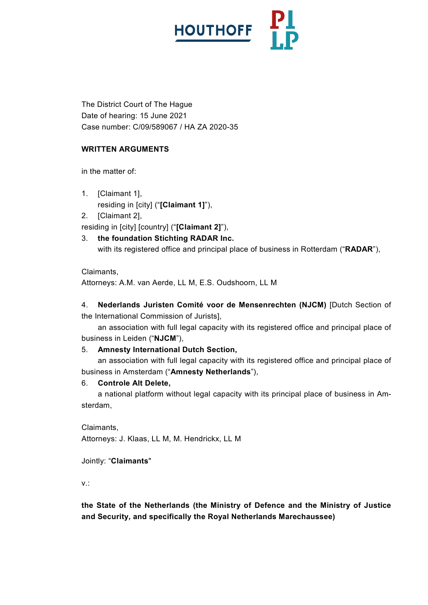

The District Court of The Hague Date of hearing: 15 June 2021 Case number: C/09/589067 / HA ZA 2020-35

# **WRITTEN ARGUMENTS**

in the matter of:

- 1. [Claimant 1], residing in [city] ("**[Claimant 1]**"),
- 2. [Claimant 2],

residing in [city] [country] ("**[Claimant 2]**"),

3. **the foundation Stichting RADAR Inc.**

with its registered office and principal place of business in Rotterdam ("**RADAR**"),

Claimants,

Attorneys: A.M. van Aerde, LL M, E.S. Oudshoorn, LL M

4. **Nederlands Juristen Comité voor de Mensenrechten (NJCM)** [Dutch Section of the International Commission of Jurists],

an association with full legal capacity with its registered office and principal place of business in Leiden ("**NJCM**"),

# 5. **Amnesty International Dutch Section,**

an association with full legal capacity with its registered office and principal place of business in Amsterdam ("**Amnesty Netherlands**"),

## 6. **Controle Alt Delete,**

a national platform without legal capacity with its principal place of business in Amsterdam,

Claimants, Attorneys: J. Klaas, LL M, M. Hendrickx, LL M

## Jointly: "**Claimants**"

v.:

**the State of the Netherlands (the Ministry of Defence and the Ministry of Justice and Security, and specifically the Royal Netherlands Marechaussee)**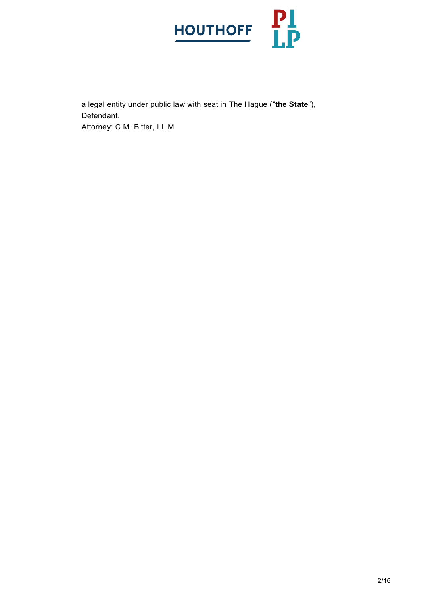

a legal entity under public law with seat in The Hague ("**the State**"), Defendant, Attorney: C.M. Bitter, LL M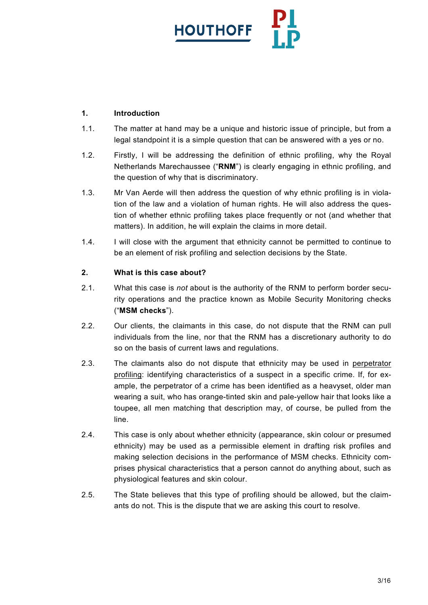

# **1. Introduction**

- 1.1. The matter at hand may be a unique and historic issue of principle, but from a legal standpoint it is a simple question that can be answered with a yes or no.
- 1.2. Firstly, I will be addressing the definition of ethnic profiling, why the Royal Netherlands Marechaussee ("**RNM**") is clearly engaging in ethnic profiling, and the question of why that is discriminatory.
- 1.3. Mr Van Aerde will then address the question of why ethnic profiling is in violation of the law and a violation of human rights. He will also address the question of whether ethnic profiling takes place frequently or not (and whether that matters). In addition, he will explain the claims in more detail.
- 1.4. I will close with the argument that ethnicity cannot be permitted to continue to be an element of risk profiling and selection decisions by the State.

# **2. What is this case about?**

- 2.1. What this case is *not* about is the authority of the RNM to perform border security operations and the practice known as Mobile Security Monitoring checks ("**MSM checks**").
- 2.2. Our clients, the claimants in this case, do not dispute that the RNM can pull individuals from the line, nor that the RNM has a discretionary authority to do so on the basis of current laws and regulations.
- 2.3. The claimants also do not dispute that ethnicity may be used in perpetrator profiling: identifying characteristics of a suspect in a specific crime. If, for example, the perpetrator of a crime has been identified as a heavyset, older man wearing a suit, who has orange-tinted skin and pale-yellow hair that looks like a toupee, all men matching that description may, of course, be pulled from the line.
- 2.4. This case is only about whether ethnicity (appearance, skin colour or presumed ethnicity) may be used as a permissible element in drafting risk profiles and making selection decisions in the performance of MSM checks. Ethnicity comprises physical characteristics that a person cannot do anything about, such as physiological features and skin colour.
- 2.5. The State believes that this type of profiling should be allowed, but the claimants do not. This is the dispute that we are asking this court to resolve.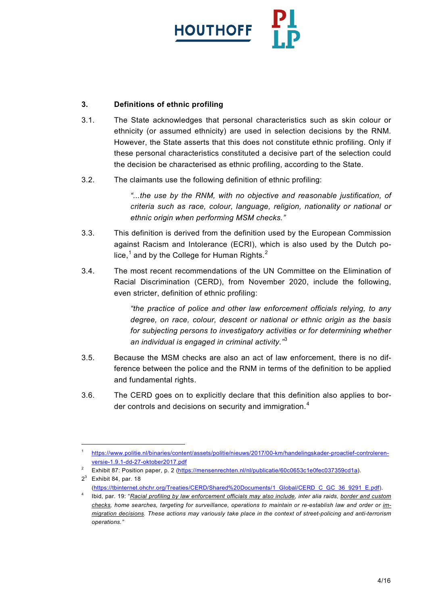

# **3. Definitions of ethnic profiling**

- 3.1. The State acknowledges that personal characteristics such as skin colour or ethnicity (or assumed ethnicity) are used in selection decisions by the RNM. However, the State asserts that this does not constitute ethnic profiling. Only if these personal characteristics constituted a decisive part of the selection could the decision be characterised as ethnic profiling, according to the State.
- 3.2. The claimants use the following definition of ethnic profiling:

*"...the use by the RNM, with no objective and reasonable justification, of criteria such as race, colour, language, religion, nationality or national or ethnic origin when performing MSM checks."*

- 3.3. This definition is derived from the definition used by the European Commission against Racism and Intolerance (ECRI), which is also used by the Dutch police, $<sup>1</sup>$  $<sup>1</sup>$  $<sup>1</sup>$  and by the College for Human Rights. $<sup>2</sup>$  $<sup>2</sup>$  $<sup>2</sup>$ </sup></sup>
- 3.4. The most recent recommendations of the UN Committee on the Elimination of Racial Discrimination (CERD), from November 2020, include the following, even stricter, definition of ethnic profiling:

*"the practice of police and other law enforcement officials relying, to any degree, on race, colour, descent or national or ethnic origin as the basis for subjecting persons to investigatory activities or for determining whether an individual is engaged in criminal activity."*[3](#page-3-2)

- 3.5. Because the MSM checks are also an act of law enforcement, there is no difference between the police and the RNM in terms of the definition to be applied and fundamental rights.
- 3.6. The CERD goes on to explicitly declare that this definition also applies to border controls and decisions on security and immigration. $4$

<span id="page-3-0"></span> <sup>1</sup> [https://www.politie.nl/binaries/content/assets/politie/nieuws/2017/00-km/handelingskader-proactief-controleren](https://www.politie.nl/binaries/content/assets/politie/nieuws/2017/00-km/handelingskader-proactief-controleren-versie-1.9.1-dd-27-oktober2017.pdf)[versie-1.9.1-dd-27-oktober2017.pdf](https://www.politie.nl/binaries/content/assets/politie/nieuws/2017/00-km/handelingskader-proactief-controleren-versie-1.9.1-dd-27-oktober2017.pdf)

<span id="page-3-1"></span><sup>&</sup>lt;sup>2</sup> Exhibit 87: Position paper, p. 2 [\(https://mensenrechten.nl/nl/publicatie/60c0653c1e0fec037359cd1a\)](https://mensenrechten.nl/nl/publicatie/60c0653c1e0fec037359cd1a).

<span id="page-3-2"></span> $2^3$  Exhibit 84, par. 18 [\(https://tbinternet.ohchr.org/Treaties/CERD/Shared%20Documents/1\\_Global/CERD\\_C\\_GC\\_36\\_9291\\_E.pdf\)](https://tbinternet.ohchr.org/Treaties/CERD/Shared%20Documents/1_Global/CERD_C_GC_36_9291_E.pdf).

<span id="page-3-3"></span><sup>4</sup> Ibid, par. 19: "*Racial profiling by law enforcement officials may also include, inter alia raids, border and custom checks, home searches, targeting for surveillance, operations to maintain or re-establish law and order or immigration decisions. These actions may variously take place in the context of street-policing and anti-terrorism operations."*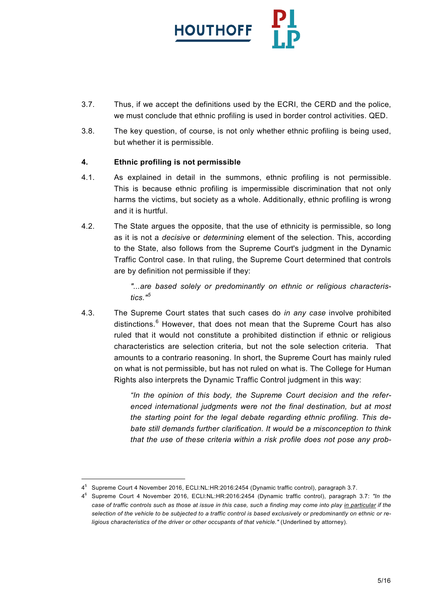

- 3.7. Thus, if we accept the definitions used by the ECRI, the CERD and the police, we must conclude that ethnic profiling is used in border control activities. QED.
- 3.8. The key question, of course, is not only whether ethnic profiling is being used, but whether it is permissible.

# **4. Ethnic profiling is not permissible**

- 4.1. As explained in detail in the summons, ethnic profiling is not permissible. This is because ethnic profiling is impermissible discrimination that not only harms the victims, but society as a whole. Additionally, ethnic profiling is wrong and it is hurtful.
- 4.2. The State argues the opposite, that the use of ethnicity is permissible, so long as it is not a *decisive* or *determining* element of the selection. This, according to the State, also follows from the Supreme Court's judgment in the Dynamic Traffic Control case. In that ruling, the Supreme Court determined that controls are by definition not permissible if they:

*"...are based solely or predominantly on ethnic or religious characteristics."[5](#page-4-0)*

4.3. The Supreme Court states that such cases do *in any case* involve prohibited distinctions.<sup>[6](#page-4-1)</sup> However, that does not mean that the Supreme Court has also ruled that it would not constitute a prohibited distinction if ethnic or religious characteristics are selection criteria, but not the sole selection criteria. That amounts to a contrario reasoning. In short, the Supreme Court has mainly ruled on what is not permissible, but has not ruled on what is. The College for Human Rights also interprets the Dynamic Traffic Control judgment in this way:

> *"In the opinion of this body, the Supreme Court decision and the referenced international judgments were not the final destination, but at most the starting point for the legal debate regarding ethnic profiling. This debate still demands further clarification. It would be a misconception to think that the use of these criteria within a risk profile does not pose any prob-*

 $\overline{a}$ 

<span id="page-4-0"></span><sup>4</sup><sup>5</sup> Supreme Court 4 November 2016, ECLl:NL:HR:2016:2454 (Dynamic traffic control), paragraph 3.7.

<span id="page-4-1"></span><sup>4</sup><sup>6</sup> Supreme Court 4 November 2016, ECLl:NL:HR:2016:2454 (Dynamic traffic control), paragraph 3.7: *"In the case of traffic controls such as those at issue in this case, such a finding may come into play in particular if the selection of the vehicle to be subjected to a traffic control is based exclusively or predominantly on ethnic or religious characteristics of the driver or other occupants of that vehicle." (Underlined by attorney).*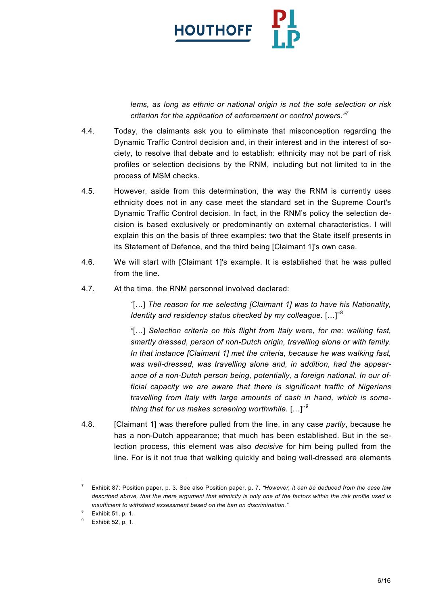

*lems, as long as ethnic or national origin is not the sole selection or risk criterion for the application of enforcement or control powers."[7](#page-5-0)*

- 4.4. Today, the claimants ask you to eliminate that misconception regarding the Dynamic Traffic Control decision and, in their interest and in the interest of society, to resolve that debate and to establish: ethnicity may not be part of risk profiles or selection decisions by the RNM, including but not limited to in the process of MSM checks.
- 4.5. However, aside from this determination, the way the RNM is currently uses ethnicity does not in any case meet the standard set in the Supreme Court's Dynamic Traffic Control decision. In fact, in the RNM's policy the selection decision is based exclusively or predominantly on external characteristics. I will explain this on the basis of three examples: two that the State itself presents in its Statement of Defence, and the third being [Claimant 1]'s own case.
- 4.6. We will start with [Claimant 1]'s example. It is established that he was pulled from the line.
- 4.7. At the time, the RNM personnel involved declared:

*"*[…] *The reason for me selecting [Claimant 1] was to have his Nationality, Identity and residency status checked by my colleague.* [...]"<sup>[8](#page-5-1)</sup>

*"*[…] *Selection criteria on this flight from Italy were, for me: walking fast, smartly dressed, person of non-Dutch origin, travelling alone or with family. In that instance [Claimant 1] met the criteria, because he was walking fast, was well-dressed, was travelling alone and, in addition, had the appearance of a non-Dutch person being, potentially, a foreign national. In our official capacity we are aware that there is significant traffic of Nigerians travelling from Italy with large amounts of cash in hand, which is something that for us makes screening worthwhile.* […]"*[9](#page-5-2)*

4.8. [Claimant 1] was therefore pulled from the line, in any case *partly*, because he has a non-Dutch appearance; that much has been established. But in the selection process, this element was also *decisive* for him being pulled from the line. For is it not true that walking quickly and being well-dressed are elements

<span id="page-5-0"></span> <sup>7</sup> Exhibit 87: Position paper, p. 3. See also Position paper, p. 7. *"However, it can be deduced from the case law described above, that the mere argument that ethnicity is only one of the factors within the risk profile used is insufficient to withstand assessment based on the ban on discrimination."*

<span id="page-5-1"></span>Exhibit 51, p. 1.

<span id="page-5-2"></span><sup>9</sup> Exhibit 52, p. 1.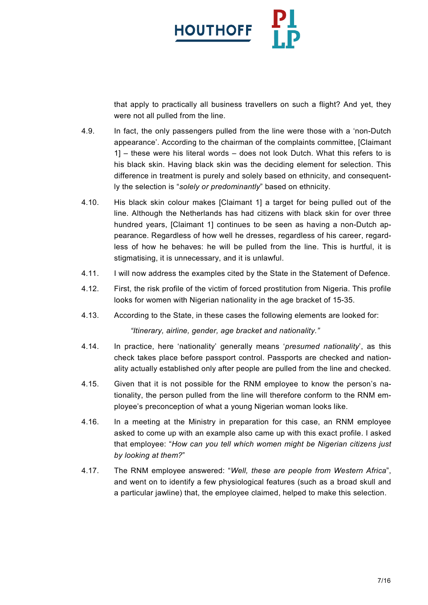

that apply to practically all business travellers on such a flight? And yet, they were not all pulled from the line.

- 4.9. In fact, the only passengers pulled from the line were those with a 'non-Dutch appearance'. According to the chairman of the complaints committee, [Claimant 1] – these were his literal words – does not look Dutch. What this refers to is his black skin. Having black skin was the deciding element for selection. This difference in treatment is purely and solely based on ethnicity, and consequently the selection is "*solely or predominantly*" based on ethnicity.
- 4.10. His black skin colour makes [Claimant 1] a target for being pulled out of the line. Although the Netherlands has had citizens with black skin for over three hundred years, [Claimant 1] continues to be seen as having a non-Dutch appearance. Regardless of how well he dresses, regardless of his career, regardless of how he behaves: he will be pulled from the line. This is hurtful, it is stigmatising, it is unnecessary, and it is unlawful.
- 4.11. I will now address the examples cited by the State in the Statement of Defence.
- 4.12. First, the risk profile of the victim of forced prostitution from Nigeria. This profile looks for women with Nigerian nationality in the age bracket of 15-35.
- 4.13. According to the State, in these cases the following elements are looked for:

*"Itinerary, airline, gender, age bracket and nationality."*

- 4.14. In practice, here 'nationality' generally means '*presumed nationality*', as this check takes place before passport control. Passports are checked and nationality actually established only after people are pulled from the line and checked.
- 4.15. Given that it is not possible for the RNM employee to know the person's nationality, the person pulled from the line will therefore conform to the RNM employee's preconception of what a young Nigerian woman looks like.
- 4.16. In a meeting at the Ministry in preparation for this case, an RNM employee asked to come up with an example also came up with this exact profile. I asked that employee: "*How can you tell which women might be Nigerian citizens just by looking at them?*"
- 4.17. The RNM employee answered: "*Well, these are people from Western Africa*", and went on to identify a few physiological features (such as a broad skull and a particular jawline) that, the employee claimed, helped to make this selection.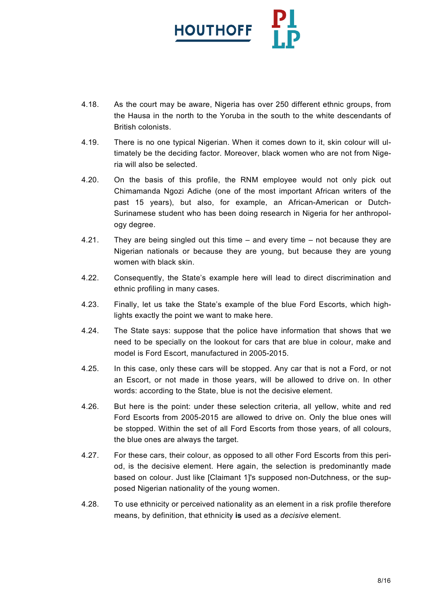

- 4.18. As the court may be aware, Nigeria has over 250 different ethnic groups, from the Hausa in the north to the Yoruba in the south to the white descendants of British colonists.
- 4.19. There is no one typical Nigerian. When it comes down to it, skin colour will ultimately be the deciding factor. Moreover, black women who are not from Nigeria will also be selected.
- 4.20. On the basis of this profile, the RNM employee would not only pick out Chimamanda Ngozi Adiche (one of the most important African writers of the past 15 years), but also, for example, an African-American or Dutch-Surinamese student who has been doing research in Nigeria for her anthropology degree.
- 4.21. They are being singled out this time and every time not because they are Nigerian nationals or because they are young, but because they are young women with black skin.
- 4.22. Consequently, the State's example here will lead to direct discrimination and ethnic profiling in many cases.
- 4.23. Finally, let us take the State's example of the blue Ford Escorts, which highlights exactly the point we want to make here.
- 4.24. The State says: suppose that the police have information that shows that we need to be specially on the lookout for cars that are blue in colour, make and model is Ford Escort, manufactured in 2005-2015.
- 4.25. In this case, only these cars will be stopped. Any car that is not a Ford, or not an Escort, or not made in those years, will be allowed to drive on. In other words: according to the State, blue is not the decisive element.
- 4.26. But here is the point: under these selection criteria, all yellow, white and red Ford Escorts from 2005-2015 are allowed to drive on. Only the blue ones will be stopped. Within the set of all Ford Escorts from those years, of all colours, the blue ones are always the target.
- 4.27. For these cars, their colour, as opposed to all other Ford Escorts from this period, is the decisive element. Here again, the selection is predominantly made based on colour. Just like [Claimant 1]'s supposed non-Dutchness, or the supposed Nigerian nationality of the young women.
- 4.28. To use ethnicity or perceived nationality as an element in a risk profile therefore means, by definition, that ethnicity **is** used as a *decisive* element.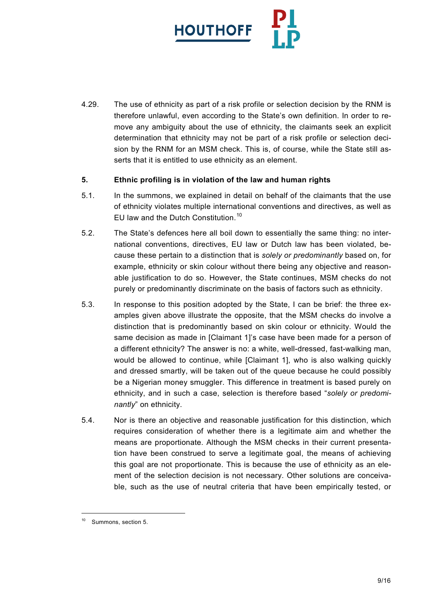

4.29. The use of ethnicity as part of a risk profile or selection decision by the RNM is therefore unlawful, even according to the State's own definition. In order to remove any ambiguity about the use of ethnicity, the claimants seek an explicit determination that ethnicity may not be part of a risk profile or selection decision by the RNM for an MSM check. This is, of course, while the State still asserts that it is entitled to use ethnicity as an element.

## **5. Ethnic profiling is in violation of the law and human rights**

- 5.1. In the summons, we explained in detail on behalf of the claimants that the use of ethnicity violates multiple international conventions and directives, as well as EU law and the Dutch Constitution.<sup>[10](#page-8-0)</sup>
- 5.2. The State's defences here all boil down to essentially the same thing: no international conventions, directives, EU law or Dutch law has been violated, because these pertain to a distinction that is *solely or predominantly* based on, for example, ethnicity or skin colour without there being any objective and reasonable justification to do so. However, the State continues, MSM checks do not purely or predominantly discriminate on the basis of factors such as ethnicity.
- 5.3. In response to this position adopted by the State, I can be brief: the three examples given above illustrate the opposite, that the MSM checks do involve a distinction that is predominantly based on skin colour or ethnicity. Would the same decision as made in [Claimant 1]'s case have been made for a person of a different ethnicity? The answer is no: a white, well-dressed, fast-walking man, would be allowed to continue, while [Claimant 1], who is also walking quickly and dressed smartly, will be taken out of the queue because he could possibly be a Nigerian money smuggler. This difference in treatment is based purely on ethnicity, and in such a case, selection is therefore based "*solely or predominantly*" on ethnicity.
- 5.4. Nor is there an objective and reasonable justification for this distinction, which requires consideration of whether there is a legitimate aim and whether the means are proportionate. Although the MSM checks in their current presentation have been construed to serve a legitimate goal, the means of achieving this goal are not proportionate. This is because the use of ethnicity as an element of the selection decision is not necessary. Other solutions are conceivable, such as the use of neutral criteria that have been empirically tested, or

<span id="page-8-0"></span> <sup>10</sup> Summons, section 5.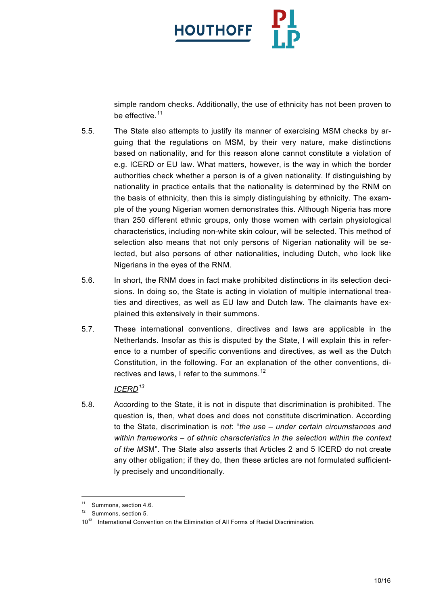

simple random checks. Additionally, the use of ethnicity has not been proven to be effective.<sup>[11](#page-9-0)</sup>

- 5.5. The State also attempts to justify its manner of exercising MSM checks by arguing that the regulations on MSM, by their very nature, make distinctions based on nationality, and for this reason alone cannot constitute a violation of e.g. ICERD or EU law. What matters, however, is the way in which the border authorities check whether a person is of a given nationality. If distinguishing by nationality in practice entails that the nationality is determined by the RNM on the basis of ethnicity, then this is simply distinguishing by ethnicity. The example of the young Nigerian women demonstrates this. Although Nigeria has more than 250 different ethnic groups, only those women with certain physiological characteristics, including non-white skin colour, will be selected. This method of selection also means that not only persons of Nigerian nationality will be selected, but also persons of other nationalities, including Dutch, who look like Nigerians in the eyes of the RNM.
- 5.6. In short, the RNM does in fact make prohibited distinctions in its selection decisions. In doing so, the State is acting in violation of multiple international treaties and directives, as well as EU law and Dutch law. The claimants have explained this extensively in their summons.
- 5.7. These international conventions, directives and laws are applicable in the Netherlands. Insofar as this is disputed by the State, I will explain this in reference to a number of specific conventions and directives, as well as the Dutch Constitution, in the following. For an explanation of the other conventions, di-rectives and laws, I refer to the summons.<sup>[12](#page-9-1)</sup>

# *ICERD[13](#page-9-2)*

5.8. According to the State, it is not in dispute that discrimination is prohibited. The question is, then, what does and does not constitute discrimination. According to the State, discrimination is *not*: "*the use – under certain circumstances and within frameworks – of ethnic characteristics in the selection within the context of the MS*M". The State also asserts that Articles 2 and 5 ICERD do not create any other obligation; if they do, then these articles are not formulated sufficiently precisely and unconditionally.

<span id="page-9-0"></span><sup>&</sup>lt;sup>11</sup> Summons, section 4.6.

<span id="page-9-1"></span>Summons, section 5.

<span id="page-9-2"></span><sup>10&</sup>lt;sup>13</sup> International Convention on the Elimination of All Forms of Racial Discrimination.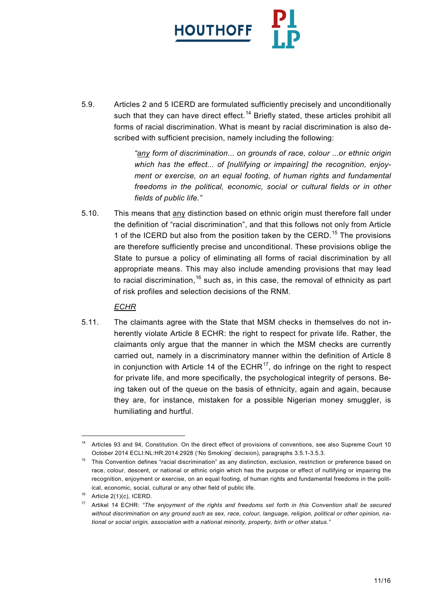

5.9. Articles 2 and 5 ICERD are formulated sufficiently precisely and unconditionally such that they can have direct effect.<sup>[14](#page-10-0)</sup> Briefly stated, these articles prohibit all forms of racial discrimination. What is meant by racial discrimination is also described with sufficient precision, namely including the following:

> *"any form of discrimination... on grounds of race, colour ...or ethnic origin which has the effect... of [nullifying or impairing] the recognition, enjoyment or exercise, on an equal footing, of human rights and fundamental freedoms in the political, economic, social or cultural fields or in other fields of public life."*

5.10. This means that any distinction based on ethnic origin must therefore fall under the definition of "racial discrimination", and that this follows not only from Article 1 of the ICERD but also from the position taken by the CERD.<sup>[15](#page-10-1)</sup> The provisions are therefore sufficiently precise and unconditional. These provisions oblige the State to pursue a policy of eliminating all forms of racial discrimination by all appropriate means. This may also include amending provisions that may lead to racial discrimination,  $16$  such as, in this case, the removal of ethnicity as part of risk profiles and selection decisions of the RNM.

# *ECHR*

5.11. The claimants agree with the State that MSM checks in themselves do not inherently violate Article 8 ECHR: the right to respect for private life. Rather, the claimants only argue that the manner in which the MSM checks are currently carried out, namely in a discriminatory manner within the definition of Article 8 in conjunction with Article 14 of the  $ECHR<sup>17</sup>$ , do infringe on the right to respect for private life, and more specifically, the psychological integrity of persons. Being taken out of the queue on the basis of ethnicity, again and again, because they are, for instance, mistaken for a possible Nigerian money smuggler, is humiliating and hurtful.

<span id="page-10-0"></span><sup>&</sup>lt;sup>14</sup> Articles 93 and 94, Constitution. On the direct effect of provisions of conventions, see also Supreme Court 10 October 2014 ECLI:NL:HR:2014:2928 ('No Smoking' decision), paragraphs 3.5.1-3.5.3.

<span id="page-10-1"></span><sup>&</sup>lt;sup>15</sup> This Convention defines "racial discrimination" as any distinction, exclusion, restriction or preference based on race, colour, descent, or national or ethnic origin which has the purpose or effect of nullifying or impairing the recognition, enjoyment or exercise, on an equal footing, of human rights and fundamental freedoms in the political, economic, social, cultural or any other field of public life.

<span id="page-10-2"></span> $16$  Article 2(1)(c), ICERD.

<span id="page-10-3"></span><sup>17</sup> Artikel 14 ECHR: *"The enjoyment of the rights and freedoms set forth in this Convention shall be secured without discrimination on any ground such as sex, race, colour, language, religion, political or other opinion, national or social origin, association with a national minority, property, birth or other status."*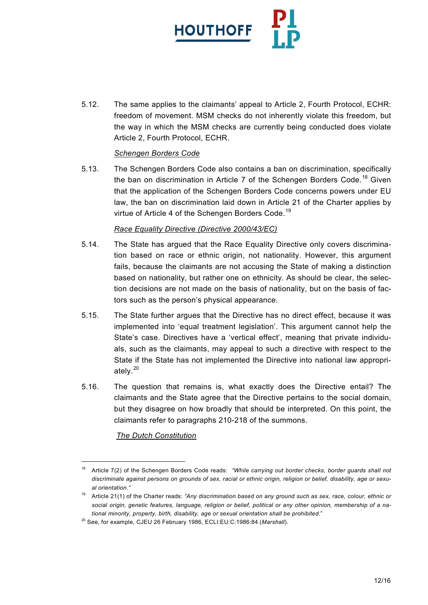

5.12. The same applies to the claimants' appeal to Article 2, Fourth Protocol, ECHR: freedom of movement. MSM checks do not inherently violate this freedom, but the way in which the MSM checks are currently being conducted does violate Article 2, Fourth Protocol, ECHR.

## *Schengen Borders Code*

5.13. The Schengen Borders Code also contains a ban on discrimination, specifically the ban on discrimination in Article 7 of the Schengen Borders Code.<sup>[18](#page-11-0)</sup> Given that the application of the Schengen Borders Code concerns powers under EU law, the ban on discrimination laid down in Article 21 of the Charter applies by virtue of Article 4 of the Schengen Borders Code.<sup>19</sup>

#### *Race Equality Directive (Directive 2000/43/EC)*

- 5.14. The State has argued that the Race Equality Directive only covers discrimination based on race or ethnic origin, not nationality. However, this argument fails, because the claimants are not accusing the State of making a distinction based on nationality, but rather one on ethnicity. As should be clear, the selection decisions are not made on the basis of nationality, but on the basis of factors such as the person's physical appearance.
- 5.15. The State further argues that the Directive has no direct effect, because it was implemented into 'equal treatment legislation'. This argument cannot help the State's case. Directives have a 'vertical effect', meaning that private individuals, such as the claimants, may appeal to such a directive with respect to the State if the State has not implemented the Directive into national law appropriately. $20$
- 5.16. The question that remains is, what exactly does the Directive entail? The claimants and the State agree that the Directive pertains to the social domain, but they disagree on how broadly that should be interpreted. On this point, the claimants refer to paragraphs 210-218 of the summons.

## *The Dutch Constitution*

<span id="page-11-0"></span><sup>&</sup>lt;sup>18</sup> Article 7(2) of the Schengen Borders Code reads: "While carrying out border checks, border guards shall not *discriminate against persons on grounds of sex, racial or ethnic origin, religion or belief, disability, age or sexual orientation."*

<span id="page-11-1"></span><sup>19</sup> Article 21(1) of the Charter reads: *"Any discrimination based on any ground such as sex, race, colour, ethnic or social origin, genetic features, language, religion or belief, political or any other opinion, membership of a national minority, property, birth, disability, age or sexual orientation shall be prohibited*."

<span id="page-11-2"></span><sup>20</sup> See, for example, CJEU 26 February 1986, ECLI:EU:C:1986:84 (*Marshall*).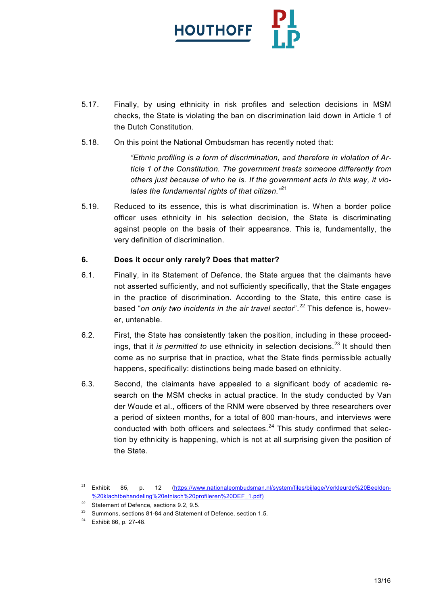

- 5.17. Finally, by using ethnicity in risk profiles and selection decisions in MSM checks, the State is violating the ban on discrimination laid down in Article 1 of the Dutch Constitution.
- 5.18. On this point the National Ombudsman has recently noted that:

*"Ethnic profiling is a form of discrimination, and therefore in violation of Article 1 of the Constitution. The government treats someone differently from others just because of who he is. If the government acts in this way, it violates the fundamental rights of that citizen."*[21](#page-12-0)

5.19. Reduced to its essence, this is what discrimination is. When a border police officer uses ethnicity in his selection decision, the State is discriminating against people on the basis of their appearance. This is, fundamentally, the very definition of discrimination.

# **6. Does it occur only rarely? Does that matter?**

- 6.1. Finally, in its Statement of Defence, the State argues that the claimants have not asserted sufficiently, and not sufficiently specifically, that the State engages in the practice of discrimination. According to the State, this entire case is based "*on only two incidents in the air travel sector*".<sup>[22](#page-12-1)</sup> This defence is, however, untenable.
- 6.2. First, the State has consistently taken the position, including in these proceedings, that it *is permitted to* use ethnicity in selection decisions.<sup>[23](#page-12-2)</sup> It should then come as no surprise that in practice, what the State finds permissible actually happens, specifically: distinctions being made based on ethnicity.
- 6.3. Second, the claimants have appealed to a significant body of academic research on the MSM checks in actual practice. In the study conducted by Van der Woude et al., officers of the RNM were observed by three researchers over a period of sixteen months, for a total of 800 man-hours, and interviews were conducted with both officers and selectees.<sup>[24](#page-12-3)</sup> This study confirmed that selection by ethnicity is happening, which is not at all surprising given the position of the State.

<span id="page-12-0"></span><sup>&</sup>lt;sup>21</sup> Exhibit 85, p. 12 [\(https://www.nationaleombudsman.nl/system/files/bijlage/Verkleurde%20Beelden-](https://www.nationaleombudsman.nl/system/files/bijlage/Verkleurde%20Beelden-%20klachtbehandeling%20etnisch%20profileren%20DEF_1.pdf) [%20klachtbehandeling%20etnisch%20profileren%20DEF\\_1.pdf\)](https://www.nationaleombudsman.nl/system/files/bijlage/Verkleurde%20Beelden-%20klachtbehandeling%20etnisch%20profileren%20DEF_1.pdf)

<span id="page-12-1"></span><sup>&</sup>lt;sup>22</sup> Statement of Defence, sections 9.2, 9.5.

<span id="page-12-2"></span>Summons, sections 81-84 and Statement of Defence, section 1.5.

<span id="page-12-3"></span><sup>24</sup> Exhibit 86, p. 27-48.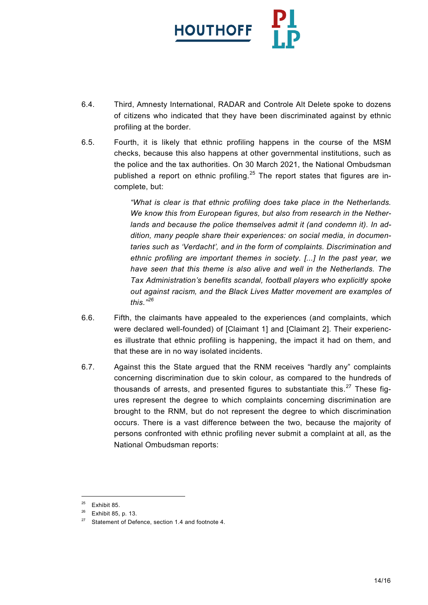

- 6.4. Third, Amnesty International, RADAR and Controle Alt Delete spoke to dozens of citizens who indicated that they have been discriminated against by ethnic profiling at the border.
- 6.5. Fourth, it is likely that ethnic profiling happens in the course of the MSM checks, because this also happens at other governmental institutions, such as the police and the tax authorities. On 30 March 2021, the National Ombudsman published a report on ethnic profiling.<sup>[25](#page-13-0)</sup> The report states that figures are incomplete, but:

*"What is clear is that ethnic profiling does take place in the Netherlands. We know this from European figures, but also from research in the Netherlands and because the police themselves admit it (and condemn it). In addition, many people share their experiences: on social media, in documentaries such as 'Verdacht', and in the form of complaints. Discrimination and ethnic profiling are important themes in society. [...] In the past year, we have seen that this theme is also alive and well in the Netherlands. The Tax Administration's benefits scandal, football players who explicitly spoke out against racism, and the Black Lives Matter movement are examples of this."[26](#page-13-1)*

- 6.6. Fifth, the claimants have appealed to the experiences (and complaints, which were declared well-founded) of [Claimant 1] and [Claimant 2]. Their experiences illustrate that ethnic profiling is happening, the impact it had on them, and that these are in no way isolated incidents.
- 6.7. Against this the State argued that the RNM receives "hardly any" complaints concerning discrimination due to skin colour, as compared to the hundreds of thousands of arrests, and presented figures to substantiate this. $27$  These figures represent the degree to which complaints concerning discrimination are brought to the RNM, but do not represent the degree to which discrimination occurs. There is a vast difference between the two, because the majority of persons confronted with ethnic profiling never submit a complaint at all, as the National Ombudsman reports:

<span id="page-13-1"></span><span id="page-13-0"></span> $25$  Exhibit 85.

<sup>26</sup> Exhibit 85, p. 13.

<span id="page-13-2"></span> $27$  Statement of Defence, section 1.4 and footnote 4.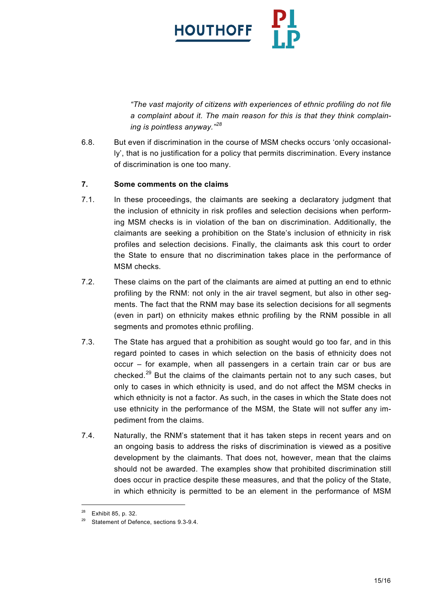

*"The vast majority of citizens with experiences of ethnic profiling do not file a complaint about it. The main reason for this is that they think complaining is pointless anyway."[28](#page-14-0)*

6.8. But even if discrimination in the course of MSM checks occurs 'only occasionally', that is no justification for a policy that permits discrimination. Every instance of discrimination is one too many.

# **7. Some comments on the claims**

- 7.1. In these proceedings, the claimants are seeking a declaratory judgment that the inclusion of ethnicity in risk profiles and selection decisions when performing MSM checks is in violation of the ban on discrimination. Additionally, the claimants are seeking a prohibition on the State's inclusion of ethnicity in risk profiles and selection decisions. Finally, the claimants ask this court to order the State to ensure that no discrimination takes place in the performance of MSM checks.
- 7.2. These claims on the part of the claimants are aimed at putting an end to ethnic profiling by the RNM: not only in the air travel segment, but also in other segments. The fact that the RNM may base its selection decisions for all segments (even in part) on ethnicity makes ethnic profiling by the RNM possible in all segments and promotes ethnic profiling.
- 7.3. The State has argued that a prohibition as sought would go too far, and in this regard pointed to cases in which selection on the basis of ethnicity does not occur – for example, when all passengers in a certain train car or bus are checked.<sup>[29](#page-14-1)</sup> But the claims of the claimants pertain not to any such cases, but only to cases in which ethnicity is used, and do not affect the MSM checks in which ethnicity is not a factor. As such, in the cases in which the State does not use ethnicity in the performance of the MSM, the State will not suffer any impediment from the claims.
- 7.4. Naturally, the RNM's statement that it has taken steps in recent years and on an ongoing basis to address the risks of discrimination is viewed as a positive development by the claimants. That does not, however, mean that the claims should not be awarded. The examples show that prohibited discrimination still does occur in practice despite these measures, and that the policy of the State, in which ethnicity is permitted to be an element in the performance of MSM

<span id="page-14-1"></span><span id="page-14-0"></span> <sup>28</sup> Exhibit 85, p. 32.

<sup>&</sup>lt;sup>29</sup> Statement of Defence, sections 9.3-9.4.